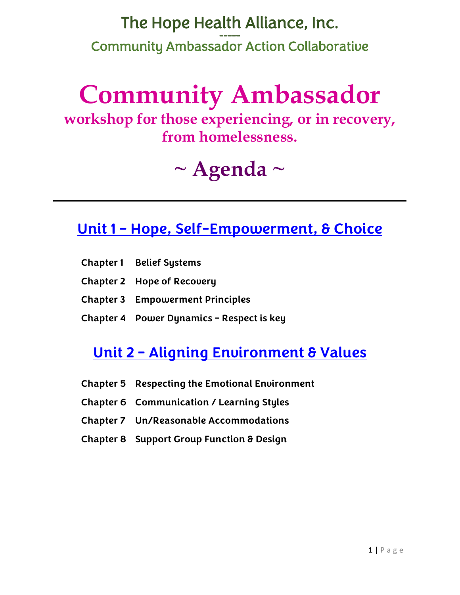## The Hope Health Alliance, Inc. Community Ambassador Action Collaborative

# **Community Ambassador**

**workshop for those experiencing, or in recovery, from homelessness.**

## **~ Agenda ~**

#### **Unit 1 – Hope, Self-Empowerment, & Choice**

- **Chapter 1 Belief Systems**
- **Chapter 2 Hope of Recovery**
- **Chapter 3 Empowerment Principles**
- **Chapter 4 Power Dynamics – Respect is key**

#### **Unit 2 – Aligning Environment & Values**

- **Chapter 5 Respecting the Emotional Environment**
- **Chapter 6 Communication / Learning Styles**
- **Chapter 7 Un/Reasonable Accommodations**
- **Chapter 8 Support Group Function & Design**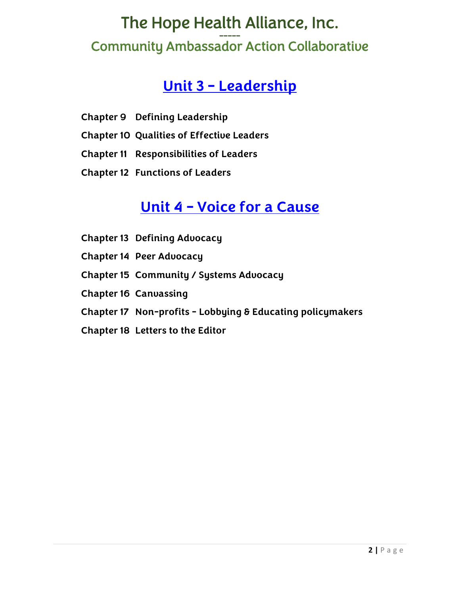## The Hope Health Alliance, Inc. Community Ambassador Action Collaborative

#### **Unit 3 – Leadership**

- **Chapter 9 Defining Leadership**
- **Chapter 10 Qualities of Effective Leaders**
- **Chapter 11 Responsibilities of Leaders**
- **Chapter 12 Functions of Leaders**

#### **Unit 4 – Voice for a Cause**

- **Chapter 13 Defining Advocacy**
- **Chapter 14 Peer Advocacy**
- **Chapter 15 Community / Systems Advocacy**
- **Chapter 16 Canvassing**
- **Chapter 17 Non-profits - Lobbying & Educating policymakers**
- **Chapter 18 Letters to the Editor**